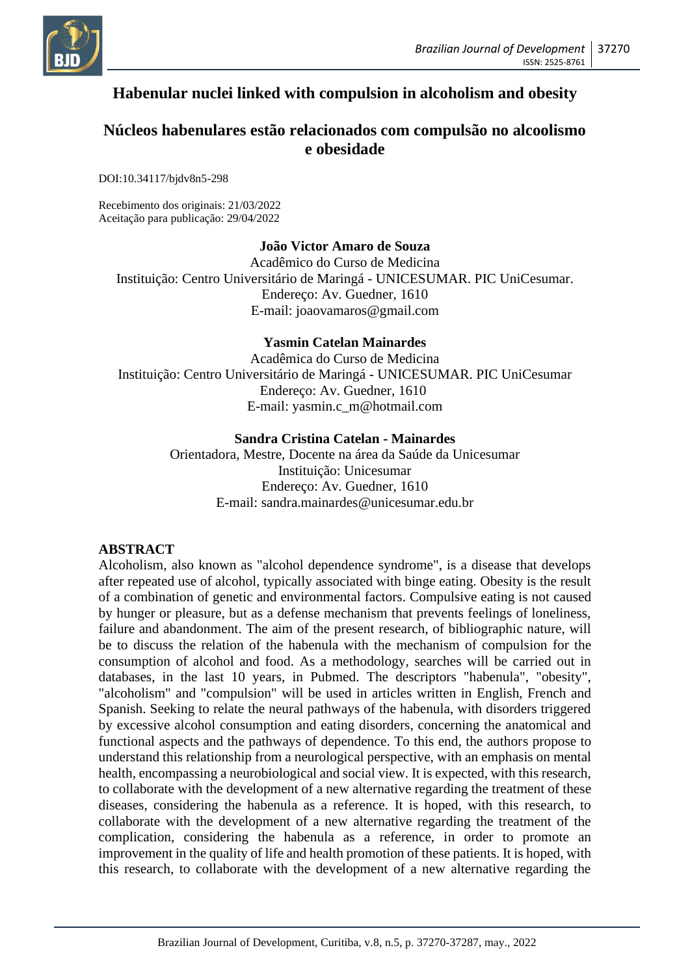

# **Habenular nuclei linked with compulsion in alcoholism and obesity**

# **Núcleos habenulares estão relacionados com compulsão no alcoolismo e obesidade**

DOI:10.34117/bjdv8n5-298

Recebimento dos originais: 21/03/2022 Aceitação para publicação: 29/04/2022

## **João Victor Amaro de Souza**

Acadêmico do Curso de Medicina Instituição: Centro Universitário de Maringá - UNICESUMAR. PIC UniCesumar. Endereço: Av. Guedner, 1610 E-mail: joaovamaros@gmail.com

#### **Yasmin Catelan Mainardes**

Acadêmica do Curso de Medicina Instituição: Centro Universitário de Maringá - UNICESUMAR. PIC UniCesumar Endereço: Av. Guedner, 1610 E-mail: yasmin.c\_m@hotmail.com

#### **Sandra Cristina Catelan - Mainardes**

Orientadora, Mestre, Docente na área da Saúde da Unicesumar Instituição: Unicesumar Endereço: Av. Guedner, 1610 E-mail: sandra.mainardes@unicesumar.edu.br

## **ABSTRACT**

Alcoholism, also known as "alcohol dependence syndrome", is a disease that develops after repeated use of alcohol, typically associated with binge eating. Obesity is the result of a combination of genetic and environmental factors. Compulsive eating is not caused by hunger or pleasure, but as a defense mechanism that prevents feelings of loneliness, failure and abandonment. The aim of the present research, of bibliographic nature, will be to discuss the relation of the habenula with the mechanism of compulsion for the consumption of alcohol and food. As a methodology, searches will be carried out in databases, in the last 10 years, in Pubmed. The descriptors "habenula", "obesity", "alcoholism" and "compulsion" will be used in articles written in English, French and Spanish. Seeking to relate the neural pathways of the habenula, with disorders triggered by excessive alcohol consumption and eating disorders, concerning the anatomical and functional aspects and the pathways of dependence. To this end, the authors propose to understand this relationship from a neurological perspective, with an emphasis on mental health, encompassing a neurobiological and social view. It is expected, with this research, to collaborate with the development of a new alternative regarding the treatment of these diseases, considering the habenula as a reference. It is hoped, with this research, to collaborate with the development of a new alternative regarding the treatment of the complication, considering the habenula as a reference, in order to promote an improvement in the quality of life and health promotion of these patients. It is hoped, with this research, to collaborate with the development of a new alternative regarding the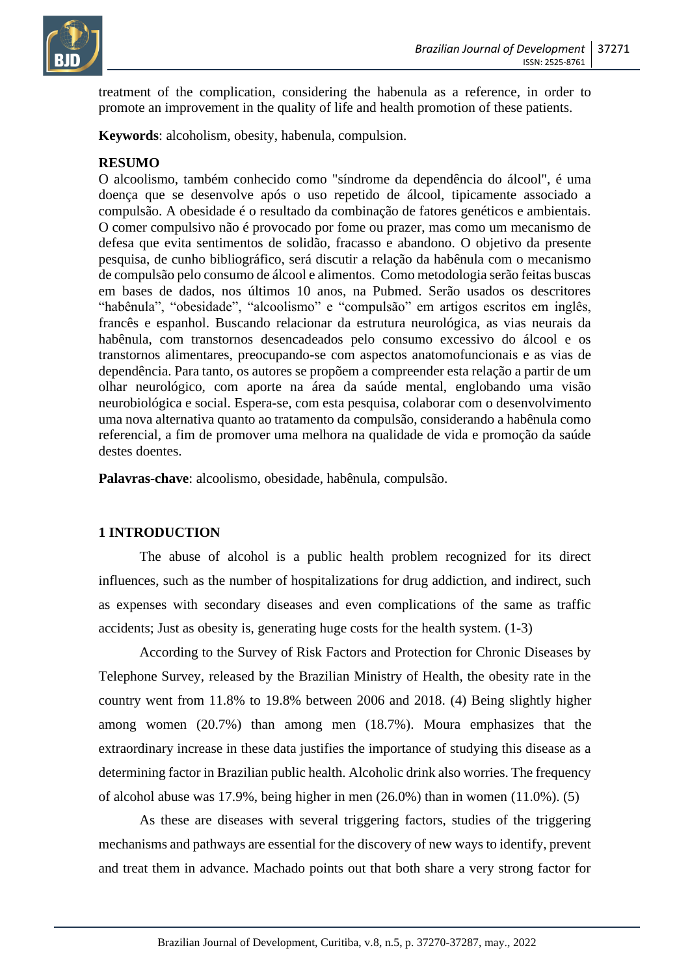

treatment of the complication, considering the habenula as a reference, in order to promote an improvement in the quality of life and health promotion of these patients.

**Keywords**: alcoholism, obesity, habenula, compulsion.

#### **RESUMO**

O alcoolismo, também conhecido como "síndrome da dependência do álcool", é uma doença que se desenvolve após o uso repetido de álcool, tipicamente associado a compulsão. A obesidade é o resultado da combinação de fatores genéticos e ambientais. O comer compulsivo não é provocado por fome ou prazer, mas como um mecanismo de defesa que evita sentimentos de solidão, fracasso e abandono. O objetivo da presente pesquisa, de cunho bibliográfico, será discutir a relação da habênula com o mecanismo de compulsão pelo consumo de álcool e alimentos. Como metodologia serão feitas buscas em bases de dados, nos últimos 10 anos, na Pubmed. Serão usados os descritores "habênula", "obesidade", "alcoolismo" e "compulsão" em artigos escritos em inglês, francês e espanhol. Buscando relacionar da estrutura neurológica, as vias neurais da habênula, com transtornos desencadeados pelo consumo excessivo do álcool e os transtornos alimentares, preocupando-se com aspectos anatomofuncionais e as vias de dependência. Para tanto, os autores se propõem a compreender esta relação a partir de um olhar neurológico, com aporte na área da saúde mental, englobando uma visão neurobiológica e social. Espera-se, com esta pesquisa, colaborar com o desenvolvimento uma nova alternativa quanto ao tratamento da compulsão, considerando a habênula como referencial, a fim de promover uma melhora na qualidade de vida e promoção da saúde destes doentes.

**Palavras-chave**: alcoolismo, obesidade, habênula, compulsão.

## **1 INTRODUCTION**

The abuse of alcohol is a public health problem recognized for its direct influences, such as the number of hospitalizations for drug addiction, and indirect, such as expenses with secondary diseases and even complications of the same as traffic accidents; Just as obesity is, generating huge costs for the health system. (1-3)

According to the Survey of Risk Factors and Protection for Chronic Diseases by Telephone Survey, released by the Brazilian Ministry of Health, the obesity rate in the country went from 11.8% to 19.8% between 2006 and 2018. (4) Being slightly higher among women (20.7%) than among men (18.7%). Moura emphasizes that the extraordinary increase in these data justifies the importance of studying this disease as a determining factor in Brazilian public health. Alcoholic drink also worries. The frequency of alcohol abuse was 17.9%, being higher in men (26.0%) than in women (11.0%). (5)

As these are diseases with several triggering factors, studies of the triggering mechanisms and pathways are essential for the discovery of new ways to identify, prevent and treat them in advance. Machado points out that both share a very strong factor for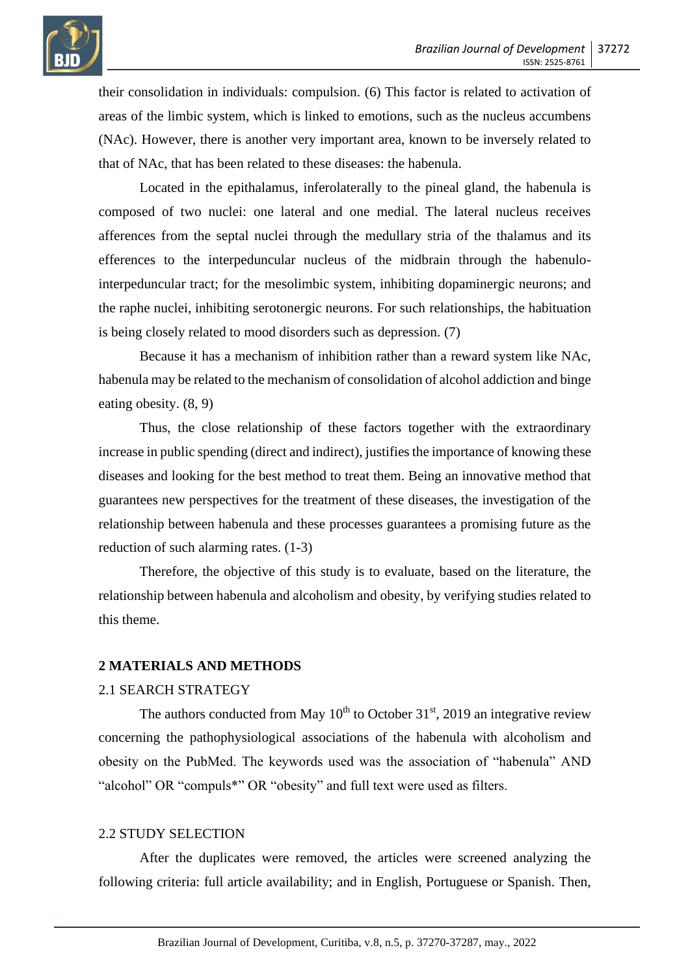

their consolidation in individuals: compulsion. (6) This factor is related to activation of areas of the limbic system, which is linked to emotions, such as the nucleus accumbens (NAc). However, there is another very important area, known to be inversely related to that of NAc, that has been related to these diseases: the habenula.

Located in the epithalamus, inferolaterally to the pineal gland, the habenula is composed of two nuclei: one lateral and one medial. The lateral nucleus receives afferences from the septal nuclei through the medullary stria of the thalamus and its efferences to the interpeduncular nucleus of the midbrain through the habenulointerpeduncular tract; for the mesolimbic system, inhibiting dopaminergic neurons; and the raphe nuclei, inhibiting serotonergic neurons. For such relationships, the habituation is being closely related to mood disorders such as depression. (7)

Because it has a mechanism of inhibition rather than a reward system like NAc, habenula may be related to the mechanism of consolidation of alcohol addiction and binge eating obesity. (8, 9)

Thus, the close relationship of these factors together with the extraordinary increase in public spending (direct and indirect), justifies the importance of knowing these diseases and looking for the best method to treat them. Being an innovative method that guarantees new perspectives for the treatment of these diseases, the investigation of the relationship between habenula and these processes guarantees a promising future as the reduction of such alarming rates. (1-3)

Therefore, the objective of this study is to evaluate, based on the literature, the relationship between habenula and alcoholism and obesity, by verifying studies related to this theme.

### **2 MATERIALS AND METHODS**

#### 2.1 SEARCH STRATEGY

The authors conducted from May  $10^{th}$  to October 31<sup>st</sup>, 2019 an integrative review concerning the pathophysiological associations of the habenula with alcoholism and obesity on the PubMed. The keywords used was the association of "habenula" AND "alcohol" OR "compuls\*" OR "obesity" and full text were used as filters.

#### 2.2 STUDY SELECTION

After the duplicates were removed, the articles were screened analyzing the following criteria: full article availability; and in English, Portuguese or Spanish. Then,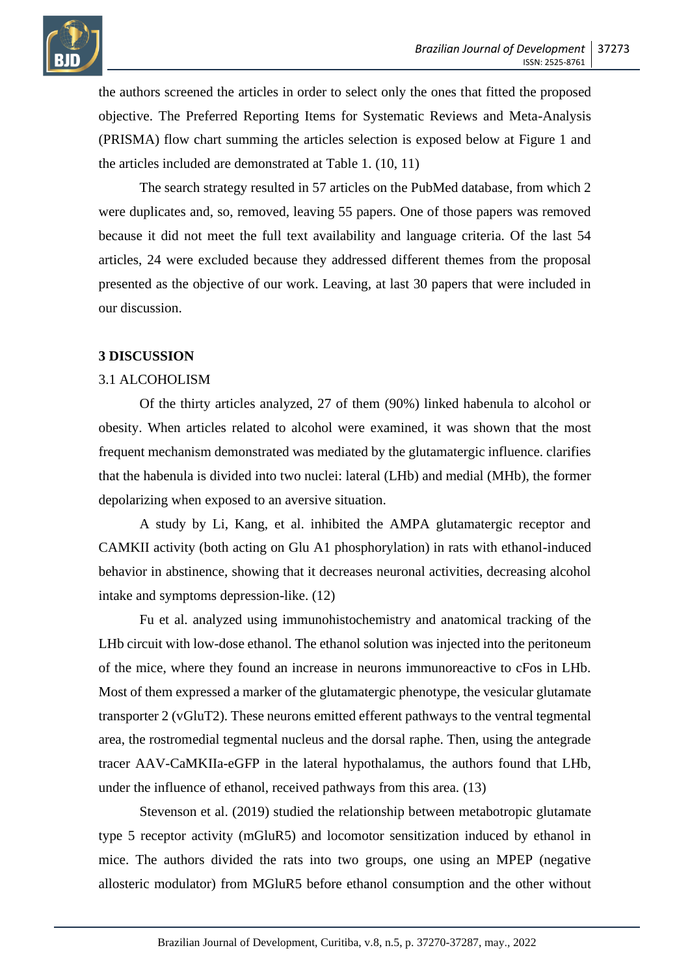

the authors screened the articles in order to select only the ones that fitted the proposed objective. The Preferred Reporting Items for Systematic Reviews and Meta-Analysis (PRISMA) flow chart summing the articles selection is exposed below at Figure 1 and the articles included are demonstrated at Table 1. (10, 11)

The search strategy resulted in 57 articles on the PubMed database, from which 2 were duplicates and, so, removed, leaving 55 papers. One of those papers was removed because it did not meet the full text availability and language criteria. Of the last 54 articles, 24 were excluded because they addressed different themes from the proposal presented as the objective of our work. Leaving, at last 30 papers that were included in our discussion.

#### **3 DISCUSSION**

#### 3.1 ALCOHOLISM

Of the thirty articles analyzed, 27 of them (90%) linked habenula to alcohol or obesity. When articles related to alcohol were examined, it was shown that the most frequent mechanism demonstrated was mediated by the glutamatergic influence. clarifies that the habenula is divided into two nuclei: lateral (LHb) and medial (MHb), the former depolarizing when exposed to an aversive situation.

A study by Li, Kang, et al. inhibited the AMPA glutamatergic receptor and CAMKII activity (both acting on Glu A1 phosphorylation) in rats with ethanol-induced behavior in abstinence, showing that it decreases neuronal activities, decreasing alcohol intake and symptoms depression-like. (12)

Fu et al. analyzed using immunohistochemistry and anatomical tracking of the LHb circuit with low-dose ethanol. The ethanol solution was injected into the peritoneum of the mice, where they found an increase in neurons immunoreactive to cFos in LHb. Most of them expressed a marker of the glutamatergic phenotype, the vesicular glutamate transporter 2 (vGluT2). These neurons emitted efferent pathways to the ventral tegmental area, the rostromedial tegmental nucleus and the dorsal raphe. Then, using the antegrade tracer AAV-CaMKIIa-eGFP in the lateral hypothalamus, the authors found that LHb, under the influence of ethanol, received pathways from this area. (13)

Stevenson et al. (2019) studied the relationship between metabotropic glutamate type 5 receptor activity (mGluR5) and locomotor sensitization induced by ethanol in mice. The authors divided the rats into two groups, one using an MPEP (negative allosteric modulator) from MGluR5 before ethanol consumption and the other without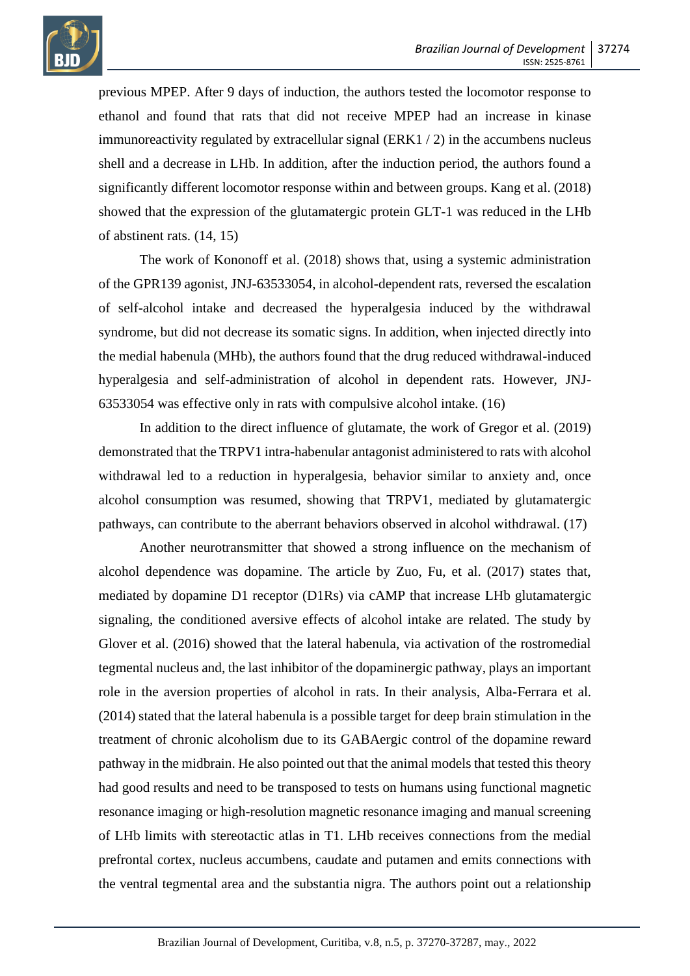

previous MPEP. After 9 days of induction, the authors tested the locomotor response to ethanol and found that rats that did not receive MPEP had an increase in kinase immunoreactivity regulated by extracellular signal (ERK1 / 2) in the accumbens nucleus shell and a decrease in LHb. In addition, after the induction period, the authors found a significantly different locomotor response within and between groups. Kang et al. (2018) showed that the expression of the glutamatergic protein GLT-1 was reduced in the LHb of abstinent rats. (14, 15)

The work of Kononoff et al. (2018) shows that, using a systemic administration of the GPR139 agonist, JNJ-63533054, in alcohol-dependent rats, reversed the escalation of self-alcohol intake and decreased the hyperalgesia induced by the withdrawal syndrome, but did not decrease its somatic signs. In addition, when injected directly into the medial habenula (MHb), the authors found that the drug reduced withdrawal-induced hyperalgesia and self-administration of alcohol in dependent rats. However, JNJ-63533054 was effective only in rats with compulsive alcohol intake. (16)

In addition to the direct influence of glutamate, the work of Gregor et al. (2019) demonstrated that the TRPV1 intra-habenular antagonist administered to rats with alcohol withdrawal led to a reduction in hyperalgesia, behavior similar to anxiety and, once alcohol consumption was resumed, showing that TRPV1, mediated by glutamatergic pathways, can contribute to the aberrant behaviors observed in alcohol withdrawal. (17)

Another neurotransmitter that showed a strong influence on the mechanism of alcohol dependence was dopamine. The article by Zuo, Fu, et al. (2017) states that, mediated by dopamine D1 receptor (D1Rs) via cAMP that increase LHb glutamatergic signaling, the conditioned aversive effects of alcohol intake are related. The study by Glover et al. (2016) showed that the lateral habenula, via activation of the rostromedial tegmental nucleus and, the last inhibitor of the dopaminergic pathway, plays an important role in the aversion properties of alcohol in rats. In their analysis, Alba-Ferrara et al. (2014) stated that the lateral habenula is a possible target for deep brain stimulation in the treatment of chronic alcoholism due to its GABAergic control of the dopamine reward pathway in the midbrain. He also pointed out that the animal models that tested this theory had good results and need to be transposed to tests on humans using functional magnetic resonance imaging or high-resolution magnetic resonance imaging and manual screening of LHb limits with stereotactic atlas in T1. LHb receives connections from the medial prefrontal cortex, nucleus accumbens, caudate and putamen and emits connections with the ventral tegmental area and the substantia nigra. The authors point out a relationship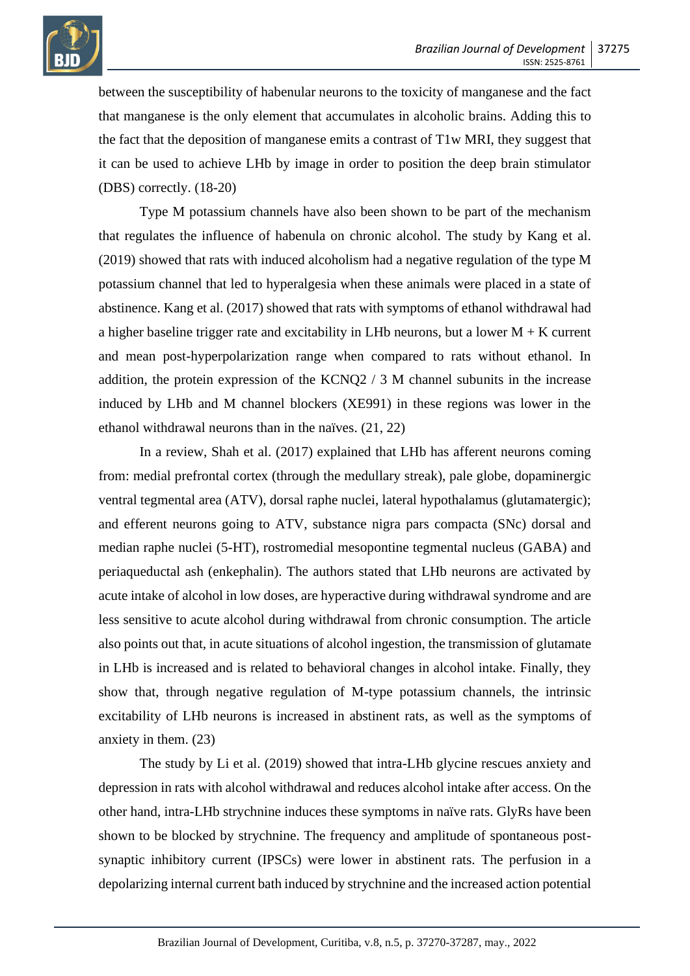

between the susceptibility of habenular neurons to the toxicity of manganese and the fact that manganese is the only element that accumulates in alcoholic brains. Adding this to the fact that the deposition of manganese emits a contrast of T1w MRI, they suggest that it can be used to achieve LHb by image in order to position the deep brain stimulator (DBS) correctly. (18-20)

Type M potassium channels have also been shown to be part of the mechanism that regulates the influence of habenula on chronic alcohol. The study by Kang et al. (2019) showed that rats with induced alcoholism had a negative regulation of the type M potassium channel that led to hyperalgesia when these animals were placed in a state of abstinence. Kang et al. (2017) showed that rats with symptoms of ethanol withdrawal had a higher baseline trigger rate and excitability in LHb neurons, but a lower  $M + K$  current and mean post-hyperpolarization range when compared to rats without ethanol. In addition, the protein expression of the KCNQ2 / 3 M channel subunits in the increase induced by LHb and M channel blockers (XE991) in these regions was lower in the ethanol withdrawal neurons than in the naïves. (21, 22)

In a review, Shah et al. (2017) explained that LHb has afferent neurons coming from: medial prefrontal cortex (through the medullary streak), pale globe, dopaminergic ventral tegmental area (ATV), dorsal raphe nuclei, lateral hypothalamus (glutamatergic); and efferent neurons going to ATV, substance nigra pars compacta (SNc) dorsal and median raphe nuclei (5-HT), rostromedial mesopontine tegmental nucleus (GABA) and periaqueductal ash (enkephalin). The authors stated that LHb neurons are activated by acute intake of alcohol in low doses, are hyperactive during withdrawal syndrome and are less sensitive to acute alcohol during withdrawal from chronic consumption. The article also points out that, in acute situations of alcohol ingestion, the transmission of glutamate in LHb is increased and is related to behavioral changes in alcohol intake. Finally, they show that, through negative regulation of M-type potassium channels, the intrinsic excitability of LHb neurons is increased in abstinent rats, as well as the symptoms of anxiety in them. (23)

The study by Li et al. (2019) showed that intra-LHb glycine rescues anxiety and depression in rats with alcohol withdrawal and reduces alcohol intake after access. On the other hand, intra-LHb strychnine induces these symptoms in naïve rats. GlyRs have been shown to be blocked by strychnine. The frequency and amplitude of spontaneous postsynaptic inhibitory current (IPSCs) were lower in abstinent rats. The perfusion in a depolarizing internal current bath induced by strychnine and the increased action potential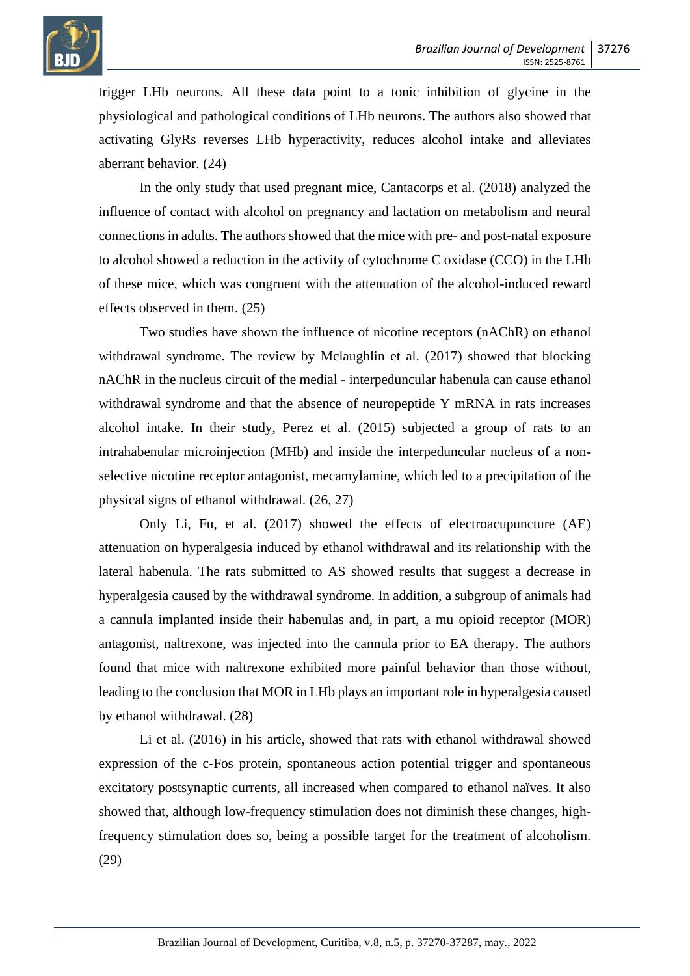

trigger LHb neurons. All these data point to a tonic inhibition of glycine in the physiological and pathological conditions of LHb neurons. The authors also showed that activating GlyRs reverses LHb hyperactivity, reduces alcohol intake and alleviates aberrant behavior. (24)

In the only study that used pregnant mice, Cantacorps et al. (2018) analyzed the influence of contact with alcohol on pregnancy and lactation on metabolism and neural connections in adults. The authors showed that the mice with pre- and post-natal exposure to alcohol showed a reduction in the activity of cytochrome C oxidase (CCO) in the LHb of these mice, which was congruent with the attenuation of the alcohol-induced reward effects observed in them. (25)

Two studies have shown the influence of nicotine receptors (nAChR) on ethanol withdrawal syndrome. The review by Mclaughlin et al. (2017) showed that blocking nAChR in the nucleus circuit of the medial - interpeduncular habenula can cause ethanol withdrawal syndrome and that the absence of neuropeptide Y mRNA in rats increases alcohol intake. In their study, Perez et al. (2015) subjected a group of rats to an intrahabenular microinjection (MHb) and inside the interpeduncular nucleus of a nonselective nicotine receptor antagonist, mecamylamine, which led to a precipitation of the physical signs of ethanol withdrawal. (26, 27)

Only Li, Fu, et al. (2017) showed the effects of electroacupuncture (AE) attenuation on hyperalgesia induced by ethanol withdrawal and its relationship with the lateral habenula. The rats submitted to AS showed results that suggest a decrease in hyperalgesia caused by the withdrawal syndrome. In addition, a subgroup of animals had a cannula implanted inside their habenulas and, in part, a mu opioid receptor (MOR) antagonist, naltrexone, was injected into the cannula prior to EA therapy. The authors found that mice with naltrexone exhibited more painful behavior than those without, leading to the conclusion that MOR in LHb plays an important role in hyperalgesia caused by ethanol withdrawal. (28)

Li et al. (2016) in his article, showed that rats with ethanol withdrawal showed expression of the c-Fos protein, spontaneous action potential trigger and spontaneous excitatory postsynaptic currents, all increased when compared to ethanol naïves. It also showed that, although low-frequency stimulation does not diminish these changes, highfrequency stimulation does so, being a possible target for the treatment of alcoholism. (29)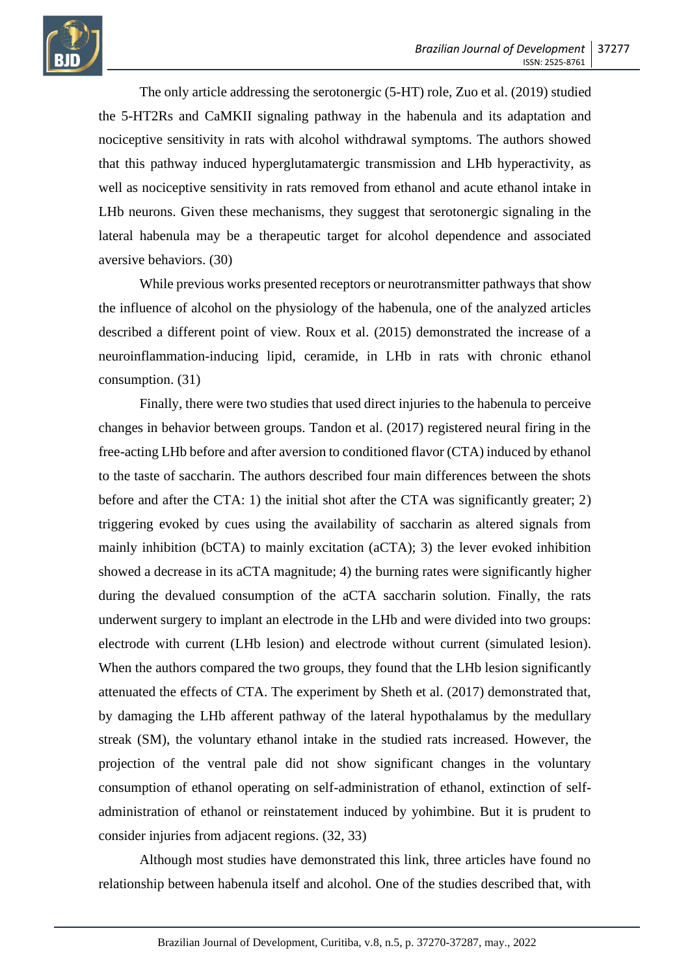

The only article addressing the serotonergic (5-HT) role, Zuo et al. (2019) studied the 5-HT2Rs and CaMKII signaling pathway in the habenula and its adaptation and nociceptive sensitivity in rats with alcohol withdrawal symptoms. The authors showed that this pathway induced hyperglutamatergic transmission and LHb hyperactivity, as well as nociceptive sensitivity in rats removed from ethanol and acute ethanol intake in LHb neurons. Given these mechanisms, they suggest that serotonergic signaling in the lateral habenula may be a therapeutic target for alcohol dependence and associated aversive behaviors. (30)

While previous works presented receptors or neurotransmitter pathways that show the influence of alcohol on the physiology of the habenula, one of the analyzed articles described a different point of view. Roux et al. (2015) demonstrated the increase of a neuroinflammation-inducing lipid, ceramide, in LHb in rats with chronic ethanol consumption. (31)

Finally, there were two studies that used direct injuries to the habenula to perceive changes in behavior between groups. Tandon et al. (2017) registered neural firing in the free-acting LHb before and after aversion to conditioned flavor (CTA) induced by ethanol to the taste of saccharin. The authors described four main differences between the shots before and after the CTA: 1) the initial shot after the CTA was significantly greater; 2) triggering evoked by cues using the availability of saccharin as altered signals from mainly inhibition (bCTA) to mainly excitation (aCTA); 3) the lever evoked inhibition showed a decrease in its aCTA magnitude; 4) the burning rates were significantly higher during the devalued consumption of the aCTA saccharin solution. Finally, the rats underwent surgery to implant an electrode in the LHb and were divided into two groups: electrode with current (LHb lesion) and electrode without current (simulated lesion). When the authors compared the two groups, they found that the LHb lesion significantly attenuated the effects of CTA. The experiment by Sheth et al. (2017) demonstrated that, by damaging the LHb afferent pathway of the lateral hypothalamus by the medullary streak (SM), the voluntary ethanol intake in the studied rats increased. However, the projection of the ventral pale did not show significant changes in the voluntary consumption of ethanol operating on self-administration of ethanol, extinction of selfadministration of ethanol or reinstatement induced by yohimbine. But it is prudent to consider injuries from adjacent regions. (32, 33)

Although most studies have demonstrated this link, three articles have found no relationship between habenula itself and alcohol. One of the studies described that, with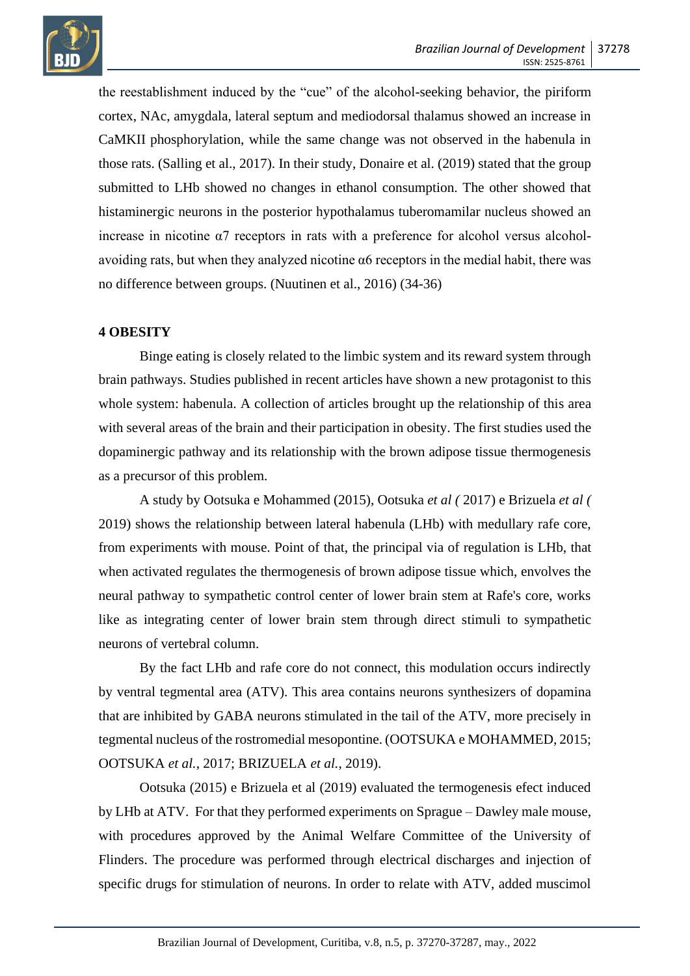

the reestablishment induced by the "cue" of the alcohol-seeking behavior, the piriform cortex, NAc, amygdala, lateral septum and mediodorsal thalamus showed an increase in CaMKII phosphorylation, while the same change was not observed in the habenula in those rats. (Salling et al., 2017). In their study, Donaire et al. (2019) stated that the group submitted to LHb showed no changes in ethanol consumption. The other showed that histaminergic neurons in the posterior hypothalamus tuberomamilar nucleus showed an increase in nicotine α7 receptors in rats with a preference for alcohol versus alcoholavoiding rats, but when they analyzed nicotine  $\alpha$ 6 receptors in the medial habit, there was no difference between groups. (Nuutinen et al., 2016) (34-36)

## **4 OBESITY**

Binge eating is closely related to the limbic system and its reward system through brain pathways. Studies published in recent articles have shown a new protagonist to this whole system: habenula. A collection of articles brought up the relationship of this area with several areas of the brain and their participation in obesity. The first studies used the dopaminergic pathway and its relationship with the brown adipose tissue thermogenesis as a precursor of this problem.

A study by Ootsuka e Mohammed (2015), Ootsuka *et al (* 2017) e Brizuela *et al (* 2019) shows the relationship between lateral habenula (LHb) with medullary rafe core, from experiments with mouse. Point of that, the principal via of regulation is LHb, that when activated regulates the thermogenesis of brown adipose tissue which, envolves the neural pathway to sympathetic control center of lower brain stem at Rafe's core, works like as integrating center of lower brain stem through direct stimuli to sympathetic neurons of vertebral column.

By the fact LHb and rafe core do not connect, this modulation occurs indirectly by ventral tegmental area (ATV). This area contains neurons synthesizers of dopamina that are inhibited by GABA neurons stimulated in the tail of the ATV, more precisely in tegmental nucleus of the rostromedial mesopontine. (OOTSUKA e MOHAMMED, 2015; OOTSUKA *et al.*, 2017; BRIZUELA *et al.*, 2019).

Ootsuka (2015) e Brizuela et al (2019) evaluated the termogenesis efect induced by LHb at ATV. For that they performed experiments on Sprague – Dawley male mouse, with procedures approved by the Animal Welfare Committee of the University of Flinders. The procedure was performed through electrical discharges and injection of specific drugs for stimulation of neurons. In order to relate with ATV, added muscimol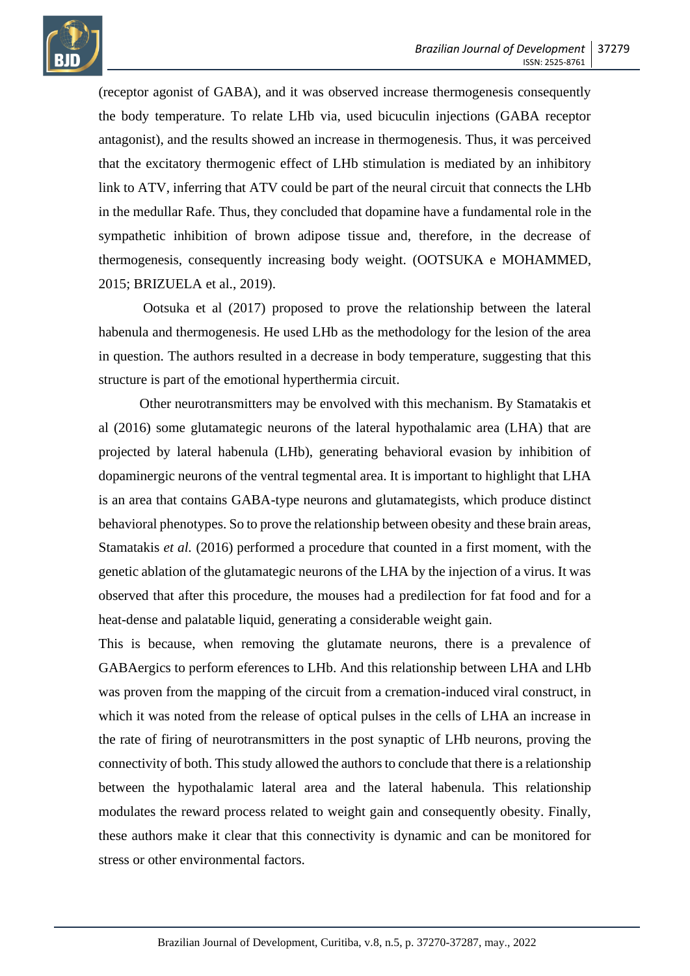

(receptor agonist of GABA), and it was observed increase thermogenesis consequently the body temperature. To relate LHb via, used bicuculin injections (GABA receptor antagonist), and the results showed an increase in thermogenesis. Thus, it was perceived that the excitatory thermogenic effect of LHb stimulation is mediated by an inhibitory link to ATV, inferring that ATV could be part of the neural circuit that connects the LHb in the medullar Rafe. Thus, they concluded that dopamine have a fundamental role in the sympathetic inhibition of brown adipose tissue and, therefore, in the decrease of thermogenesis, consequently increasing body weight. (OOTSUKA e MOHAMMED, 2015; BRIZUELA et al., 2019).

Ootsuka et al (2017) proposed to prove the relationship between the lateral habenula and thermogenesis. He used LHb as the methodology for the lesion of the area in question. The authors resulted in a decrease in body temperature, suggesting that this structure is part of the emotional hyperthermia circuit.

Other neurotransmitters may be envolved with this mechanism. By Stamatakis et al (2016) some glutamategic neurons of the lateral hypothalamic area (LHA) that are projected by lateral habenula (LHb), generating behavioral evasion by inhibition of dopaminergic neurons of the ventral tegmental area. It is important to highlight that LHA is an area that contains GABA-type neurons and glutamategists, which produce distinct behavioral phenotypes. So to prove the relationship between obesity and these brain areas, Stamatakis *et al.* (2016) performed a procedure that counted in a first moment, with the genetic ablation of the glutamategic neurons of the LHA by the injection of a virus. It was observed that after this procedure, the mouses had a predilection for fat food and for a heat-dense and palatable liquid, generating a considerable weight gain.

This is because, when removing the glutamate neurons, there is a prevalence of GABAergics to perform eferences to LHb. And this relationship between LHA and LHb was proven from the mapping of the circuit from a cremation-induced viral construct, in which it was noted from the release of optical pulses in the cells of LHA an increase in the rate of firing of neurotransmitters in the post synaptic of LHb neurons, proving the connectivity of both. This study allowed the authors to conclude that there is a relationship between the hypothalamic lateral area and the lateral habenula. This relationship modulates the reward process related to weight gain and consequently obesity. Finally, these authors make it clear that this connectivity is dynamic and can be monitored for stress or other environmental factors.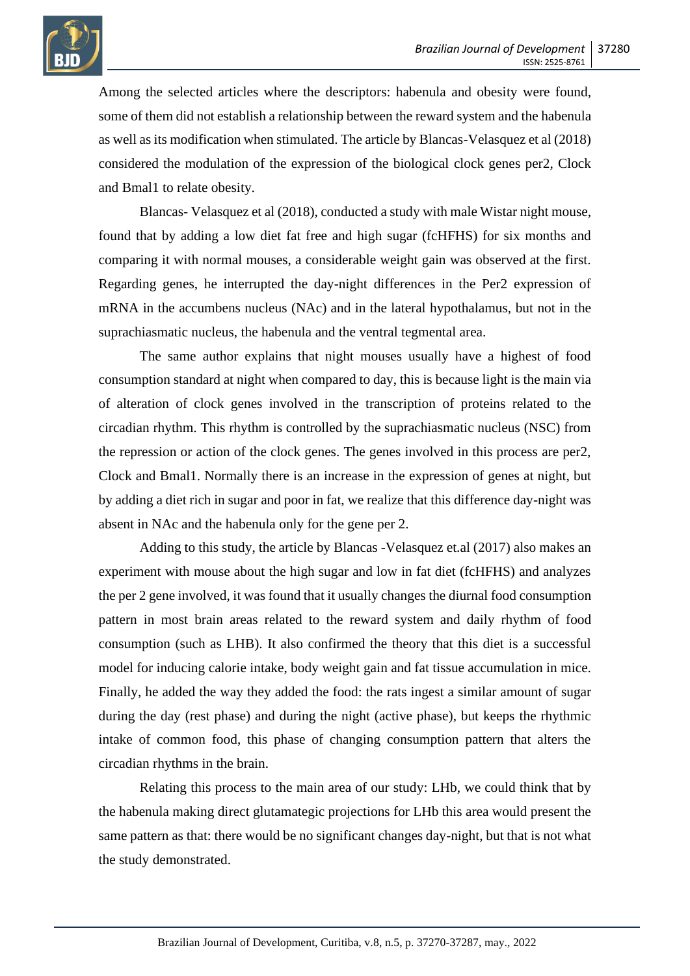

Among the selected articles where the descriptors: habenula and obesity were found, some of them did not establish a relationship between the reward system and the habenula as well as its modification when stimulated. The article by Blancas-Velasquez et al (2018) considered the modulation of the expression of the biological clock genes per2, Clock and Bmal1 to relate obesity.

Blancas- Velasquez et al (2018), conducted a study with male Wistar night mouse, found that by adding a low diet fat free and high sugar (fcHFHS) for six months and comparing it with normal mouses, a considerable weight gain was observed at the first. Regarding genes, he interrupted the day-night differences in the Per2 expression of mRNA in the accumbens nucleus (NAc) and in the lateral hypothalamus, but not in the suprachiasmatic nucleus, the habenula and the ventral tegmental area.

The same author explains that night mouses usually have a highest of food consumption standard at night when compared to day, this is because light is the main via of alteration of clock genes involved in the transcription of proteins related to the circadian rhythm. This rhythm is controlled by the suprachiasmatic nucleus (NSC) from the repression or action of the clock genes. The genes involved in this process are per2, Clock and Bmal1. Normally there is an increase in the expression of genes at night, but by adding a diet rich in sugar and poor in fat, we realize that this difference day-night was absent in NAc and the habenula only for the gene per 2.

Adding to this study, the article by Blancas -Velasquez et.al (2017) also makes an experiment with mouse about the high sugar and low in fat diet (fcHFHS) and analyzes the per 2 gene involved, it was found that it usually changes the diurnal food consumption pattern in most brain areas related to the reward system and daily rhythm of food consumption (such as LHB). It also confirmed the theory that this diet is a successful model for inducing calorie intake, body weight gain and fat tissue accumulation in mice. Finally, he added the way they added the food: the rats ingest a similar amount of sugar during the day (rest phase) and during the night (active phase), but keeps the rhythmic intake of common food, this phase of changing consumption pattern that alters the circadian rhythms in the brain.

Relating this process to the main area of our study: LHb, we could think that by the habenula making direct glutamategic projections for LHb this area would present the same pattern as that: there would be no significant changes day-night, but that is not what the study demonstrated.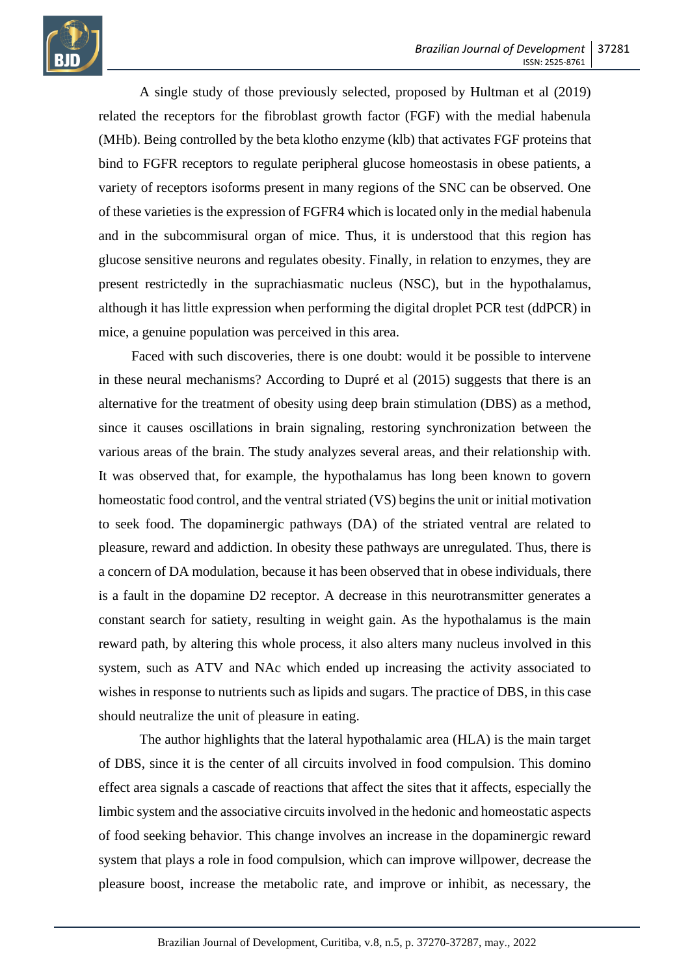

A single study of those previously selected, proposed by Hultman et al (2019) related the receptors for the fibroblast growth factor (FGF) with the medial habenula (MHb). Being controlled by the beta klotho enzyme (klb) that activates FGF proteins that bind to FGFR receptors to regulate peripheral glucose homeostasis in obese patients, a variety of receptors isoforms present in many regions of the SNC can be observed. One of these varieties is the expression of FGFR4 which is located only in the medial habenula and in the subcommisural organ of mice. Thus, it is understood that this region has glucose sensitive neurons and regulates obesity. Finally, in relation to enzymes, they are present restrictedly in the suprachiasmatic nucleus (NSC), but in the hypothalamus, although it has little expression when performing the digital droplet PCR test (ddPCR) in mice, a genuine population was perceived in this area.

Faced with such discoveries, there is one doubt: would it be possible to intervene in these neural mechanisms? According to Dupré et al (2015) suggests that there is an alternative for the treatment of obesity using deep brain stimulation (DBS) as a method, since it causes oscillations in brain signaling, restoring synchronization between the various areas of the brain. The study analyzes several areas, and their relationship with. It was observed that, for example, the hypothalamus has long been known to govern homeostatic food control, and the ventral striated (VS) begins the unit or initial motivation to seek food. The dopaminergic pathways (DA) of the striated ventral are related to pleasure, reward and addiction. In obesity these pathways are unregulated. Thus, there is a concern of DA modulation, because it has been observed that in obese individuals, there is a fault in the dopamine D2 receptor. A decrease in this neurotransmitter generates a constant search for satiety, resulting in weight gain. As the hypothalamus is the main reward path, by altering this whole process, it also alters many nucleus involved in this system, such as ATV and NAc which ended up increasing the activity associated to wishes in response to nutrients such as lipids and sugars. The practice of DBS, in this case should neutralize the unit of pleasure in eating.

The author highlights that the lateral hypothalamic area (HLA) is the main target of DBS, since it is the center of all circuits involved in food compulsion. This domino effect area signals a cascade of reactions that affect the sites that it affects, especially the limbic system and the associative circuits involved in the hedonic and homeostatic aspects of food seeking behavior. This change involves an increase in the dopaminergic reward system that plays a role in food compulsion, which can improve willpower, decrease the pleasure boost, increase the metabolic rate, and improve or inhibit, as necessary, the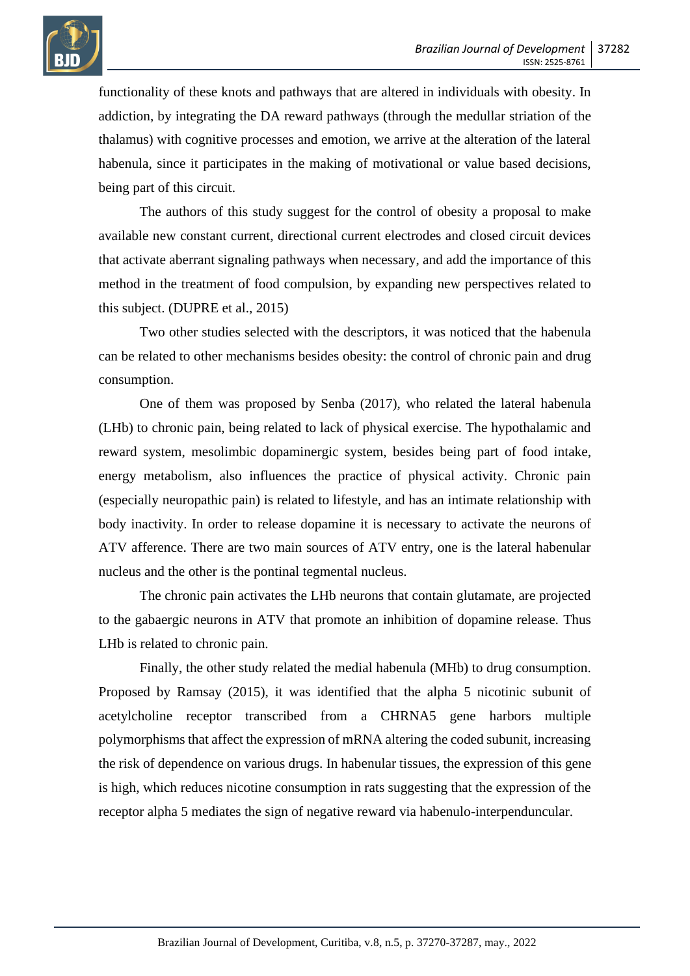

functionality of these knots and pathways that are altered in individuals with obesity. In addiction, by integrating the DA reward pathways (through the medullar striation of the thalamus) with cognitive processes and emotion, we arrive at the alteration of the lateral habenula, since it participates in the making of motivational or value based decisions, being part of this circuit.

The authors of this study suggest for the control of obesity a proposal to make available new constant current, directional current electrodes and closed circuit devices that activate aberrant signaling pathways when necessary, and add the importance of this method in the treatment of food compulsion, by expanding new perspectives related to this subject. (DUPRE et al., 2015)

Two other studies selected with the descriptors, it was noticed that the habenula can be related to other mechanisms besides obesity: the control of chronic pain and drug consumption.

One of them was proposed by Senba (2017), who related the lateral habenula (LHb) to chronic pain, being related to lack of physical exercise. The hypothalamic and reward system, mesolimbic dopaminergic system, besides being part of food intake, energy metabolism, also influences the practice of physical activity. Chronic pain (especially neuropathic pain) is related to lifestyle, and has an intimate relationship with body inactivity. In order to release dopamine it is necessary to activate the neurons of ATV afference. There are two main sources of ATV entry, one is the lateral habenular nucleus and the other is the pontinal tegmental nucleus.

The chronic pain activates the LHb neurons that contain glutamate, are projected to the gabaergic neurons in ATV that promote an inhibition of dopamine release. Thus LHb is related to chronic pain.

Finally, the other study related the medial habenula (MHb) to drug consumption. Proposed by Ramsay (2015), it was identified that the alpha 5 nicotinic subunit of acetylcholine receptor transcribed from a CHRNA5 gene harbors multiple polymorphisms that affect the expression of mRNA altering the coded subunit, increasing the risk of dependence on various drugs. In habenular tissues, the expression of this gene is high, which reduces nicotine consumption in rats suggesting that the expression of the receptor alpha 5 mediates the sign of negative reward via habenulo-interpenduncular.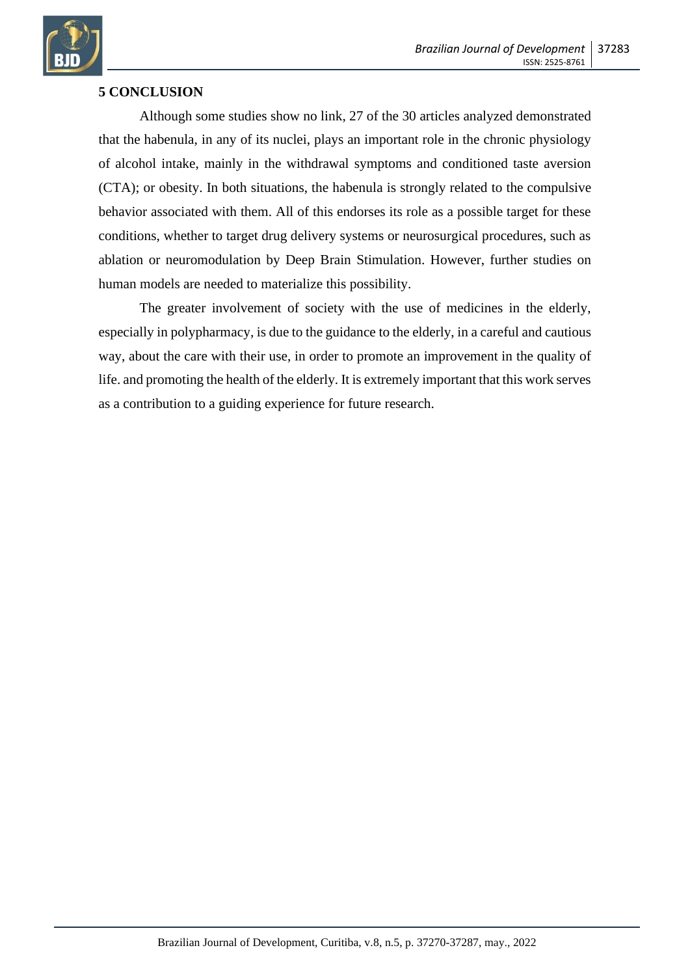

## **5 CONCLUSION**

Although some studies show no link, 27 of the 30 articles analyzed demonstrated that the habenula, in any of its nuclei, plays an important role in the chronic physiology of alcohol intake, mainly in the withdrawal symptoms and conditioned taste aversion (CTA); or obesity. In both situations, the habenula is strongly related to the compulsive behavior associated with them. All of this endorses its role as a possible target for these conditions, whether to target drug delivery systems or neurosurgical procedures, such as ablation or neuromodulation by Deep Brain Stimulation. However, further studies on human models are needed to materialize this possibility.

The greater involvement of society with the use of medicines in the elderly, especially in polypharmacy, is due to the guidance to the elderly, in a careful and cautious way, about the care with their use, in order to promote an improvement in the quality of life. and promoting the health of the elderly. It is extremely important that this work serves as a contribution to a guiding experience for future research.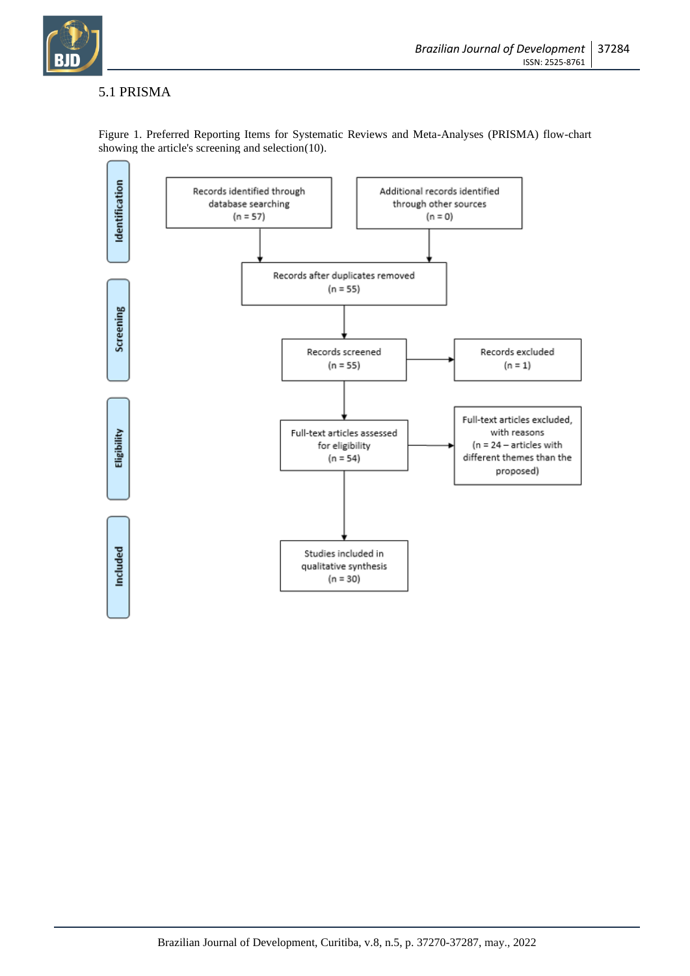

# 5.1 PRISMA



Figure 1. Preferred Reporting Items for Systematic Reviews and Meta-Analyses (PRISMA) flow-chart showing the article's screening and selection(10).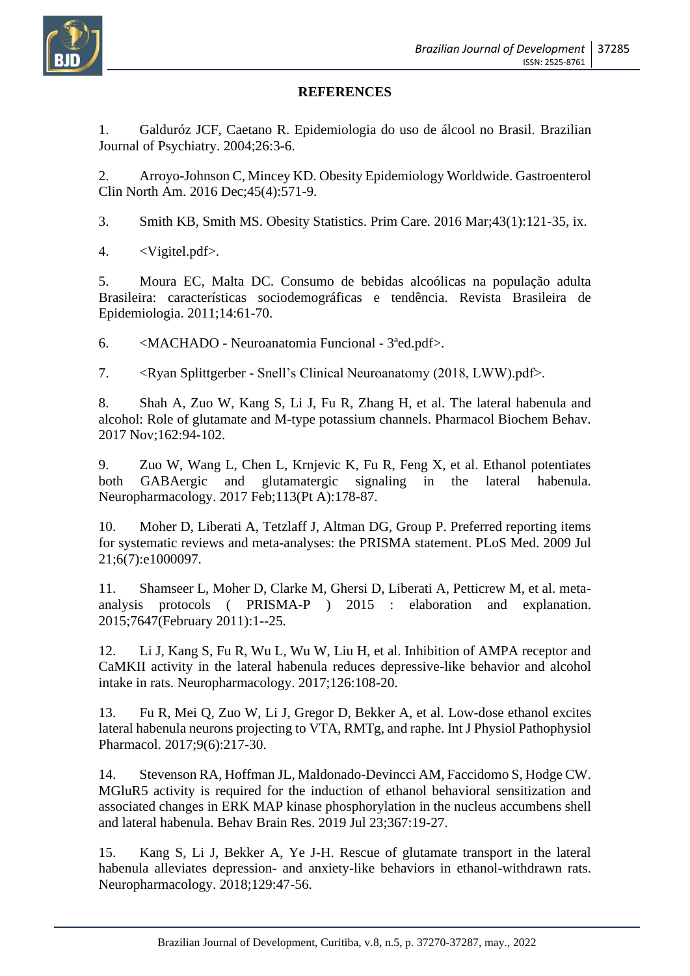

### **REFERENCES**

1. Galduróz JCF, Caetano R. Epidemiologia do uso de álcool no Brasil. Brazilian Journal of Psychiatry. 2004;26:3-6.

2. Arroyo-Johnson C, Mincey KD. Obesity Epidemiology Worldwide. Gastroenterol Clin North Am. 2016 Dec;45(4):571-9.

3. Smith KB, Smith MS. Obesity Statistics. Prim Care. 2016 Mar;43(1):121-35, ix.

4. <Vigitel.pdf>.

5. Moura EC, Malta DC. Consumo de bebidas alcoólicas na população adulta Brasileira: características sociodemográficas e tendência. Revista Brasileira de Epidemiologia. 2011;14:61-70.

6. <MACHADO - Neuroanatomia Funcional - 3ªed.pdf>.

7. <Ryan Splittgerber - Snell's Clinical Neuroanatomy (2018, LWW).pdf>.

8. Shah A, Zuo W, Kang S, Li J, Fu R, Zhang H, et al. The lateral habenula and alcohol: Role of glutamate and M-type potassium channels. Pharmacol Biochem Behav. 2017 Nov;162:94-102.

9. Zuo W, Wang L, Chen L, Krnjevic K, Fu R, Feng X, et al. Ethanol potentiates both GABAergic and glutamatergic signaling in the lateral habenula. Neuropharmacology. 2017 Feb;113(Pt A):178-87.

10. Moher D, Liberati A, Tetzlaff J, Altman DG, Group P. Preferred reporting items for systematic reviews and meta-analyses: the PRISMA statement. PLoS Med. 2009 Jul 21;6(7):e1000097.

11. Shamseer L, Moher D, Clarke M, Ghersi D, Liberati A, Petticrew M, et al. metaanalysis protocols ( PRISMA-P ) 2015 : elaboration and explanation. 2015;7647(February 2011):1--25.

12. Li J, Kang S, Fu R, Wu L, Wu W, Liu H, et al. Inhibition of AMPA receptor and CaMKII activity in the lateral habenula reduces depressive-like behavior and alcohol intake in rats. Neuropharmacology. 2017;126:108-20.

13. Fu R, Mei Q, Zuo W, Li J, Gregor D, Bekker A, et al. Low-dose ethanol excites lateral habenula neurons projecting to VTA, RMTg, and raphe. Int J Physiol Pathophysiol Pharmacol. 2017;9(6):217-30.

14. Stevenson RA, Hoffman JL, Maldonado-Devincci AM, Faccidomo S, Hodge CW. MGluR5 activity is required for the induction of ethanol behavioral sensitization and associated changes in ERK MAP kinase phosphorylation in the nucleus accumbens shell and lateral habenula. Behav Brain Res. 2019 Jul 23;367:19-27.

15. Kang S, Li J, Bekker A, Ye J-H. Rescue of glutamate transport in the lateral habenula alleviates depression- and anxiety-like behaviors in ethanol-withdrawn rats. Neuropharmacology. 2018;129:47-56.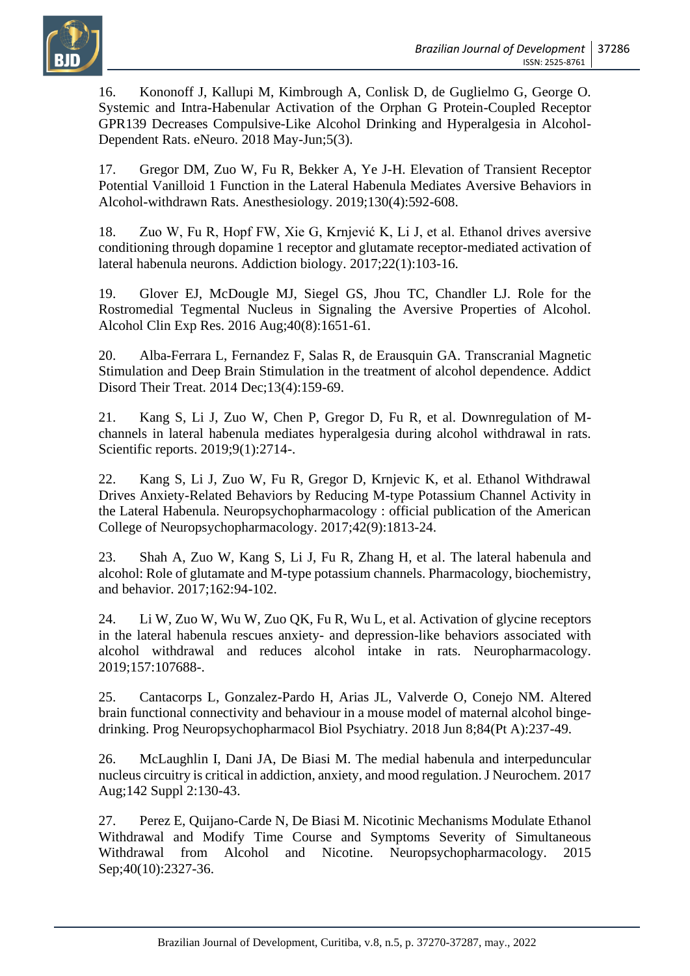

16. Kononoff J, Kallupi M, Kimbrough A, Conlisk D, de Guglielmo G, George O. Systemic and Intra-Habenular Activation of the Orphan G Protein-Coupled Receptor GPR139 Decreases Compulsive-Like Alcohol Drinking and Hyperalgesia in Alcohol-Dependent Rats. eNeuro. 2018 May-Jun;5(3).

17. Gregor DM, Zuo W, Fu R, Bekker A, Ye J-H. Elevation of Transient Receptor Potential Vanilloid 1 Function in the Lateral Habenula Mediates Aversive Behaviors in Alcohol-withdrawn Rats. Anesthesiology. 2019;130(4):592-608.

18. Zuo W, Fu R, Hopf FW, Xie G, Krnjević K, Li J, et al. Ethanol drives aversive conditioning through dopamine 1 receptor and glutamate receptor-mediated activation of lateral habenula neurons. Addiction biology. 2017;22(1):103-16.

19. Glover EJ, McDougle MJ, Siegel GS, Jhou TC, Chandler LJ. Role for the Rostromedial Tegmental Nucleus in Signaling the Aversive Properties of Alcohol. Alcohol Clin Exp Res. 2016 Aug;40(8):1651-61.

20. Alba-Ferrara L, Fernandez F, Salas R, de Erausquin GA. Transcranial Magnetic Stimulation and Deep Brain Stimulation in the treatment of alcohol dependence. Addict Disord Their Treat. 2014 Dec;13(4):159-69.

21. Kang S, Li J, Zuo W, Chen P, Gregor D, Fu R, et al. Downregulation of Mchannels in lateral habenula mediates hyperalgesia during alcohol withdrawal in rats. Scientific reports. 2019;9(1):2714-.

22. Kang S, Li J, Zuo W, Fu R, Gregor D, Krnjevic K, et al. Ethanol Withdrawal Drives Anxiety-Related Behaviors by Reducing M-type Potassium Channel Activity in the Lateral Habenula. Neuropsychopharmacology : official publication of the American College of Neuropsychopharmacology. 2017;42(9):1813-24.

23. Shah A, Zuo W, Kang S, Li J, Fu R, Zhang H, et al. The lateral habenula and alcohol: Role of glutamate and M-type potassium channels. Pharmacology, biochemistry, and behavior. 2017;162:94-102.

24. Li W, Zuo W, Wu W, Zuo QK, Fu R, Wu L, et al. Activation of glycine receptors in the lateral habenula rescues anxiety- and depression-like behaviors associated with alcohol withdrawal and reduces alcohol intake in rats. Neuropharmacology. 2019;157:107688-.

25. Cantacorps L, Gonzalez-Pardo H, Arias JL, Valverde O, Conejo NM. Altered brain functional connectivity and behaviour in a mouse model of maternal alcohol bingedrinking. Prog Neuropsychopharmacol Biol Psychiatry. 2018 Jun 8;84(Pt A):237-49.

26. McLaughlin I, Dani JA, De Biasi M. The medial habenula and interpeduncular nucleus circuitry is critical in addiction, anxiety, and mood regulation. J Neurochem. 2017 Aug;142 Suppl 2:130-43.

27. Perez E, Quijano-Carde N, De Biasi M. Nicotinic Mechanisms Modulate Ethanol Withdrawal and Modify Time Course and Symptoms Severity of Simultaneous Withdrawal from Alcohol and Nicotine. Neuropsychopharmacology. 2015 Sep; 40(10): 2327-36.